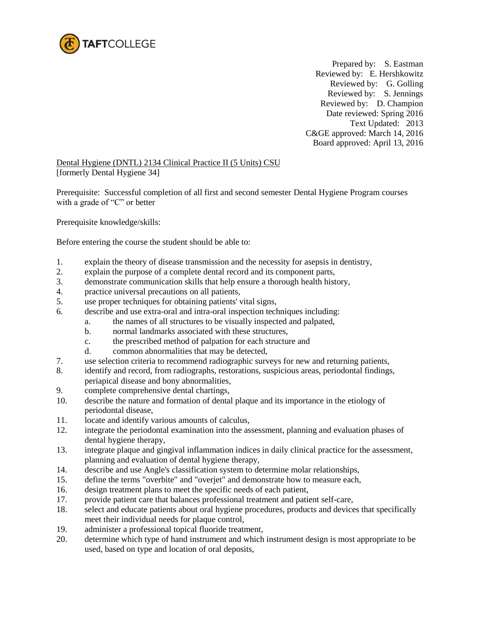

 Prepared by: S. Eastman Reviewed by: E. Hershkowitz Reviewed by: G. Golling Reviewed by: S. Jennings Reviewed by: D. Champion Date reviewed: Spring 2016 Text Updated: 2013 C&GE approved: March 14, 2016 Board approved: April 13, 2016

Dental Hygiene (DNTL) 2134 Clinical Practice II (5 Units) CSU [formerly Dental Hygiene 34]

Prerequisite: Successful completion of all first and second semester Dental Hygiene Program courses with a grade of "C" or better

Prerequisite knowledge/skills:

Before entering the course the student should be able to:

- 1. explain the theory of disease transmission and the necessity for asepsis in dentistry,
- 2. explain the purpose of a complete dental record and its component parts,
- 3. demonstrate communication skills that help ensure a thorough health history,
- 4. practice universal precautions on all patients,
- 5. use proper techniques for obtaining patients' vital signs,
- 6. describe and use extra-oral and intra-oral inspection techniques including:
	- a. the names of all structures to be visually inspected and palpated,
		- b. normal landmarks associated with these structures,
		- c. the prescribed method of palpation for each structure and
		- d. common abnormalities that may be detected,
- 7. use selection criteria to recommend radiographic surveys for new and returning patients,
- 8. identify and record, from radiographs, restorations, suspicious areas, periodontal findings, periapical disease and bony abnormalities,
- 9. complete comprehensive dental chartings,
- 10. describe the nature and formation of dental plaque and its importance in the etiology of periodontal disease,
- 11. locate and identify various amounts of calculus,
- 12. integrate the periodontal examination into the assessment, planning and evaluation phases of dental hygiene therapy,
- 13. integrate plaque and gingival inflammation indices in daily clinical practice for the assessment, planning and evaluation of dental hygiene therapy,
- 14. describe and use Angle's classification system to determine molar relationships,
- 15. define the terms "overbite" and "overjet" and demonstrate how to measure each,
- 16. design treatment plans to meet the specific needs of each patient,
- 17. provide patient care that balances professional treatment and patient self-care,
- 18. select and educate patients about oral hygiene procedures, products and devices that specifically meet their individual needs for plaque control,
- 19. administer a professional topical fluoride treatment,
- 20. determine which type of hand instrument and which instrument design is most appropriate to be used, based on type and location of oral deposits,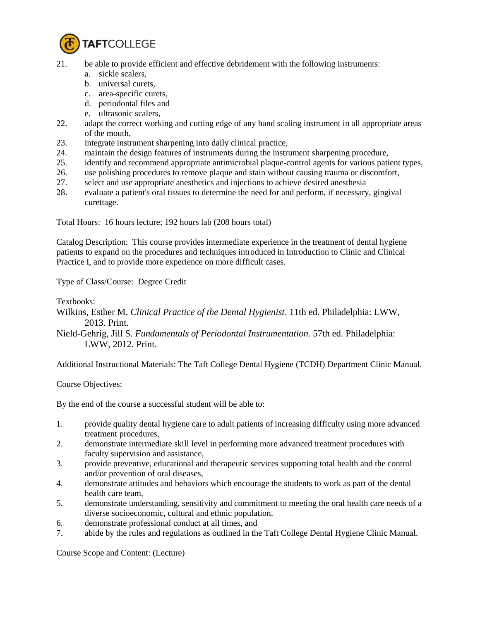

- 21. be able to provide efficient and effective debridement with the following instruments:
	- a. sickle scalers,
	- b. universal curets,
	- c. area-specific curets,
	- d. periodontal files and
	- e. ultrasonic scalers,
- 22. adapt the correct working and cutting edge of any hand scaling instrument in all appropriate areas of the mouth,
- 23. integrate instrument sharpening into daily clinical practice,
- 24. maintain the design features of instruments during the instrument sharpening procedure,
- 25. identify and recommend appropriate antimicrobial plaque-control agents for various patient types,
- 26. use polishing procedures to remove plaque and stain without causing trauma or discomfort,
- 27. select and use appropriate anesthetics and injections to achieve desired anesthesia
- 28. evaluate a patient's oral tissues to determine the need for and perform, if necessary, gingival curettage.

Total Hours: 16 hours lecture; 192 hours lab (208 hours total)

Catalog Description: This course provides intermediate experience in the treatment of dental hygiene patients to expand on the procedures and techniques introduced in Introduction to Clinic and Clinical Practice I, and to provide more experience on more difficult cases.

Type of Class/Course: Degree Credit

Textbooks:

- Wilkins, Esther M. *Clinical Practice of the Dental Hygienist*. 11th ed. Philadelphia: LWW, 2013. Print.
- Nield-Gehrig, Jill S. *Fundamentals of Periodontal Instrumentation.* 57th ed. Philadelphia: LWW, 2012. Print.

Additional Instructional Materials: The Taft College Dental Hygiene (TCDH) Department Clinic Manual.

Course Objectives:

By the end of the course a successful student will be able to:

- 1. provide quality dental hygiene care to adult patients of increasing difficulty using more advanced treatment procedures,
- 2. demonstrate intermediate skill level in performing more advanced treatment procedures with faculty supervision and assistance,
- 3. provide preventive, educational and therapeutic services supporting total health and the control and/or prevention of oral diseases,
- 4. demonstrate attitudes and behaviors which encourage the students to work as part of the dental health care team,
- 5. demonstrate understanding, sensitivity and commitment to meeting the oral health care needs of a diverse socioeconomic, cultural and ethnic population,
- 6. demonstrate professional conduct at all times, and
- 7. abide by the rules and regulations as outlined in the Taft College Dental Hygiene Clinic Manual.

Course Scope and Content: (Lecture)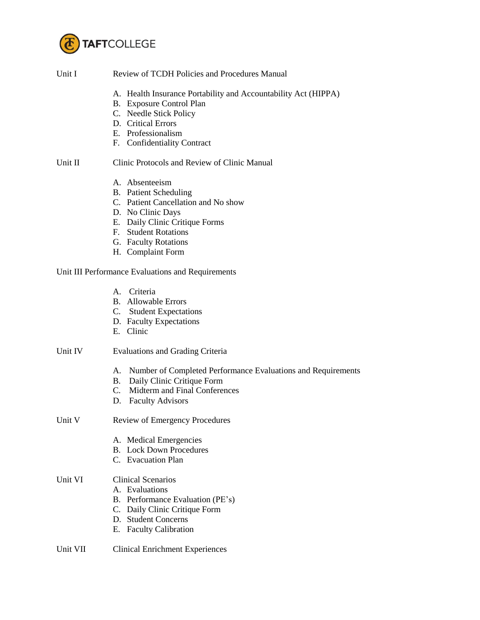

| Unit I  | Review of TCDH Policies and Procedures Manual                                                                                                                                                                     |  |  |
|---------|-------------------------------------------------------------------------------------------------------------------------------------------------------------------------------------------------------------------|--|--|
|         | A. Health Insurance Portability and Accountability Act (HIPPA)<br>B. Exposure Control Plan<br>C. Needle Stick Policy<br>D. Critical Errors<br>E. Professionalism<br>F. Confidentiality Contract                   |  |  |
| Unit II | Clinic Protocols and Review of Clinic Manual                                                                                                                                                                      |  |  |
|         | A. Absenteeism<br><b>B.</b> Patient Scheduling<br>C. Patient Cancellation and No show<br>D. No Clinic Days<br>E. Daily Clinic Critique Forms<br>F. Student Rotations<br>G. Faculty Rotations<br>H. Complaint Form |  |  |
|         | Unit III Performance Evaluations and Requirements                                                                                                                                                                 |  |  |
|         | A. Criteria<br><b>B.</b> Allowable Errors<br>C. Student Expectations<br>D. Faculty Expectations<br>E. Clinic                                                                                                      |  |  |
| Unit IV | <b>Evaluations and Grading Criteria</b>                                                                                                                                                                           |  |  |
|         | Number of Completed Performance Evaluations and Requirements<br>А.<br>B. Daily Clinic Critique Form<br>C. Midterm and Final Conferences<br>D. Faculty Advisors                                                    |  |  |
| Unit V  | Review of Emergency Procedures                                                                                                                                                                                    |  |  |
|         | A. Medical Emergencies<br><b>B.</b> Lock Down Procedures<br>C. Evacuation Plan                                                                                                                                    |  |  |
| Unit VI | <b>Clinical Scenarios</b><br>A. Evaluations<br>B. Performance Evaluation (PE's)<br>C. Daily Clinic Critique Form<br>D. Student Concerns<br><b>Faculty Calibration</b><br>Е.                                       |  |  |

## Unit VII Clinical Enrichment Experiences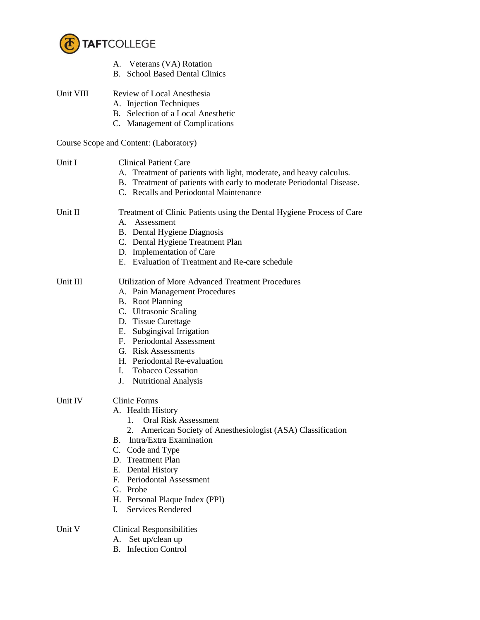

|           | A. Veterans (VA) Rotation<br><b>B.</b> School Based Dental Clinics                                                                                                                                                                                                                                                                                              |
|-----------|-----------------------------------------------------------------------------------------------------------------------------------------------------------------------------------------------------------------------------------------------------------------------------------------------------------------------------------------------------------------|
| Unit VIII | Review of Local Anesthesia<br>A. Injection Techniques<br>B. Selection of a Local Anesthetic<br>C. Management of Complications                                                                                                                                                                                                                                   |
|           | Course Scope and Content: (Laboratory)                                                                                                                                                                                                                                                                                                                          |
| Unit I    | <b>Clinical Patient Care</b><br>A. Treatment of patients with light, moderate, and heavy calculus.<br>B. Treatment of patients with early to moderate Periodontal Disease.<br>C. Recalls and Periodontal Maintenance                                                                                                                                            |
| Unit II   | Treatment of Clinic Patients using the Dental Hygiene Process of Care<br>A. Assessment<br>B. Dental Hygiene Diagnosis<br>C. Dental Hygiene Treatment Plan<br>D. Implementation of Care<br>E. Evaluation of Treatment and Re-care schedule                                                                                                                       |
| Unit III  | <b>Utilization of More Advanced Treatment Procedures</b><br>A. Pain Management Procedures<br><b>B.</b> Root Planning<br>C. Ultrasonic Scaling<br>D. Tissue Curettage<br>E. Subgingival Irrigation<br>F. Periodontal Assessment<br>G. Risk Assessments<br>H. Periodontal Re-evaluation<br>I. Tobacco Cessation<br>J. Nutritional Analysis                        |
| Unit IV   | <b>Clinic Forms</b><br>A. Health History<br><b>Oral Risk Assessment</b><br>1.<br>American Society of Anesthesiologist (ASA) Classification<br>2.<br>Intra/Extra Examination<br>В.<br>C.<br>Code and Type<br>D. Treatment Plan<br>E. Dental History<br>F. Periodontal Assessment<br>G. Probe<br>H. Personal Plaque Index (PPI)<br><b>Services Rendered</b><br>L. |
| Unit V    | <b>Clinical Responsibilities</b><br>Set up/clean up<br>A.                                                                                                                                                                                                                                                                                                       |

B. Infection Control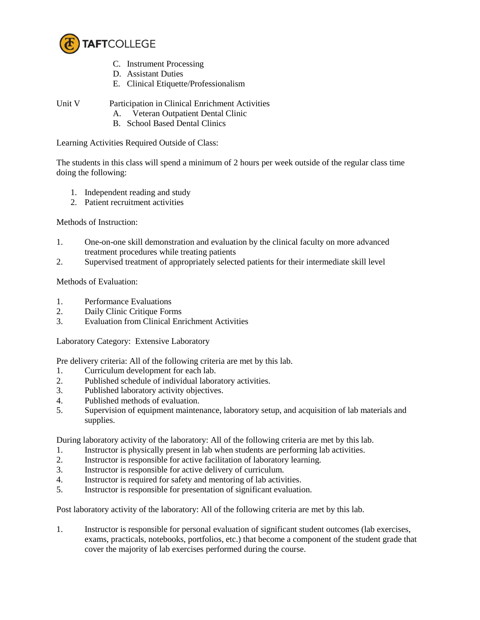

- C. Instrument Processing
- D. Assistant Duties
- E. Clinical Etiquette/Professionalism

- Unit V Participation in Clinical Enrichment Activities
	- A. Veteran Outpatient Dental Clinic
	- B. School Based Dental Clinics

Learning Activities Required Outside of Class:

The students in this class will spend a minimum of 2 hours per week outside of the regular class time doing the following:

- 1. Independent reading and study
- 2. Patient recruitment activities

Methods of Instruction:

- 1. One-on-one skill demonstration and evaluation by the clinical faculty on more advanced treatment procedures while treating patients
- 2. Supervised treatment of appropriately selected patients for their intermediate skill level

Methods of Evaluation:

- 1. Performance Evaluations
- 2. Daily Clinic Critique Forms
- 3. Evaluation from Clinical Enrichment Activities

Laboratory Category: Extensive Laboratory

Pre delivery criteria: All of the following criteria are met by this lab.

- 1. Curriculum development for each lab.
- 2. Published schedule of individual laboratory activities.
- 3. Published laboratory activity objectives.
- 4. Published methods of evaluation.
- 5. Supervision of equipment maintenance, laboratory setup, and acquisition of lab materials and supplies.

During laboratory activity of the laboratory: All of the following criteria are met by this lab.

- 1. Instructor is physically present in lab when students are performing lab activities.
- 2. Instructor is responsible for active facilitation of laboratory learning.
- 3. Instructor is responsible for active delivery of curriculum.
- 4. Instructor is required for safety and mentoring of lab activities.
- 5. Instructor is responsible for presentation of significant evaluation.

Post laboratory activity of the laboratory: All of the following criteria are met by this lab.

1. Instructor is responsible for personal evaluation of significant student outcomes (lab exercises, exams, practicals, notebooks, portfolios, etc.) that become a component of the student grade that cover the majority of lab exercises performed during the course.